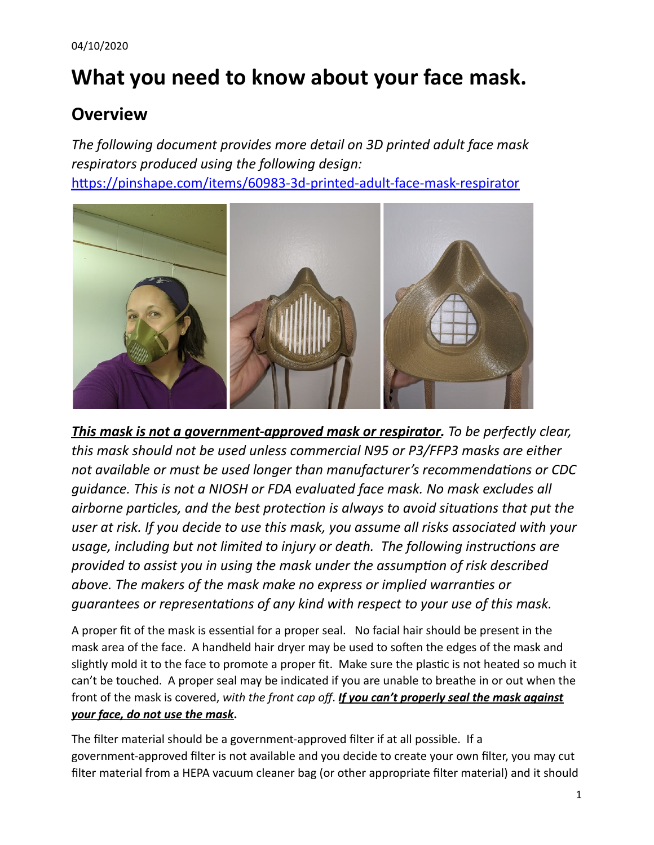# **What you need to know about your face mask.**

# **Overview**

*The following document provides more detail on 3D printed adult face mask respirators produced using the following design:* https://pinshape.com/items/60983-3d-printed-adult-face-mask-respirator



*This mask is not a government-approved mask or respirator. To be perfectly clear, this mask should not be used unless commercial N95 or P3/FFP3 masks are either not available or must be used longer than manufacturer's recommendations or CDC guidance. This is not a NIOSH or FDA evaluated face mask. No mask excludes all airborne* particles, and the best protection is always to avoid situations that put the *user at risk. If you decide to use this mask, you assume all risks associated with your usage, including but not limited to injury or death. The following instructions are provided to assist you in using the mask under the assumpon of risk described above. The makers of the mask make no express or implied warranes or guarantees* or *representations* of any kind with *respect* to your use of this mask.

A proper fit of the mask is essential for a proper seal. No facial hair should be present in the mask area of the face. A handheld hair dryer may be used to soften the edges of the mask and slightly mold it to the face to promote a proper fit. Make sure the plastic is not heated so much it can't be touched. A proper seal may be indicated if you are unable to breathe in or out when the front of the mask is covered, *with the front cap off* . *If you can't properly seal the mask against your face, do not use the mask* **.** 

The filter material should be a government-approved filter if at all possible. If a government-approved filter is not available and you decide to create your own filter, you may cut filter material from a HEPA vacuum cleaner bag (or other appropriate filter material) and it should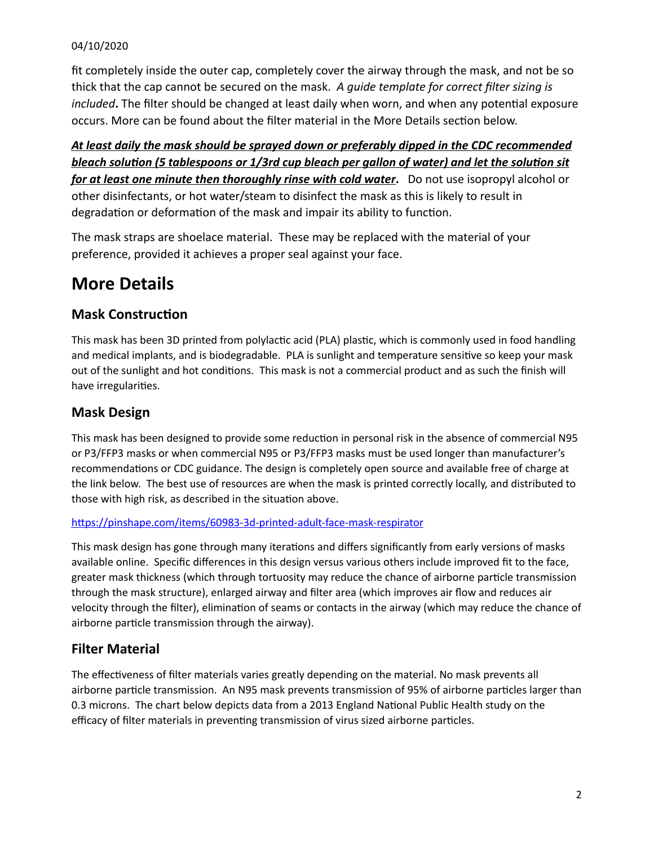#### 04/10/2020

fit completely inside the outer cap, completely cover the airway through the mask, and not be so thick that the cap cannot be secured on the mask. *A guide template for correct filter sizing is included*. The filter should be changed at least daily when worn, and when any potential exposure occurs. More can be found about the filter material in the More Details section below.

*At least daily the mask should be sprayed down or preferably dipped in the CDC recommended*  **bleach solution (5 tablespoons or 1/3rd cup bleach per gallon of water) and let the solution sit** *for at least one minute then thoroughly rinse with cold water***.** Do not use isopropyl alcohol or other disinfectants, or hot water/steam to disinfect the mask as this is likely to result in degradation or deformation of the mask and impair its ability to function.

The mask straps are shoelace material. These may be replaced with the material of your preference, provided it achieves a proper seal against your face.

# **More Details**

### **Mask Construction**

This mask has been 3D printed from polylactic acid (PLA) plastic, which is commonly used in food handling and medical implants, and is biodegradable. PLA is sunlight and temperature sensitive so keep your mask out of the sunlight and hot conditions. This mask is not a commercial product and as such the finish will have irregularities.

# **Mask Design**

This mask has been designed to provide some reduction in personal risk in the absence of commercial N95 or P3/FFP3 masks or when commercial N95 or P3/FFP3 masks must be used longer than manufacturer's recommendations or CDC guidance. The design is completely open source and available free of charge at the link below. The best use of resources are when the mask is printed correctly locally, and distributed to those with high risk, as described in the situation above.

#### https://pinshape.com/items/60983-3d-printed-adult-face-mask-respirator

This mask design has gone through many iterations and differs significantly from early versions of masks available online. Specific differences in this design versus various others include improved fit to the face, greater mask thickness (which through tortuosity may reduce the chance of airborne particle transmission through the mask structure), enlarged airway and filter area (which improves air flow and reduces air velocity through the filter), elimination of seams or contacts in the airway (which may reduce the chance of airborne particle transmission through the airway).

# **Filter Material**

The effectiveness of filter materials varies greatly depending on the material. No mask prevents all airborne particle transmission. An N95 mask prevents transmission of 95% of airborne particles larger than 0.3 microns. The chart below depicts data from a 2013 England National Public Health study on the efficacy of filter materials in preventing transmission of virus sized airborne particles.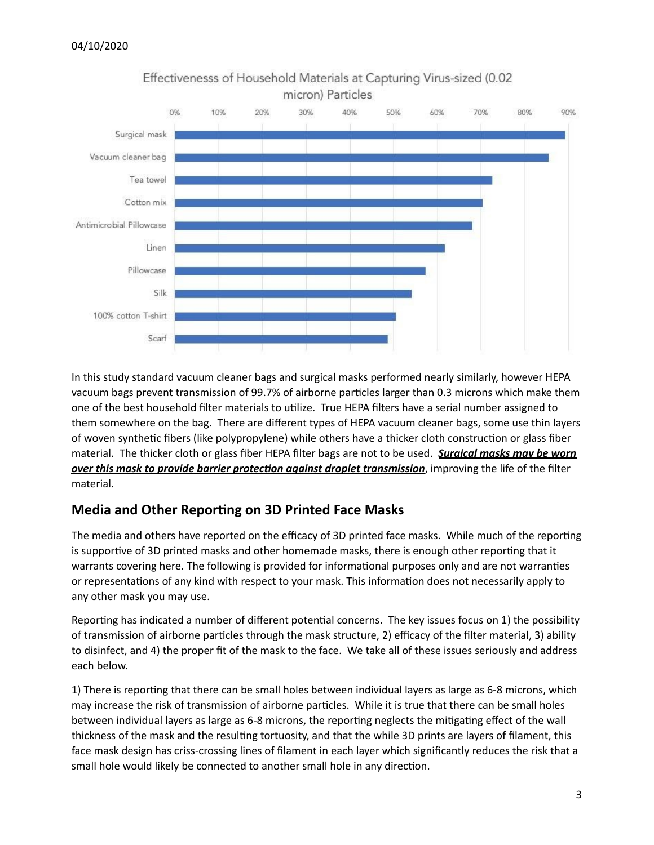

Effectivenesss of Household Materials at Capturing Virus-sized (0.02 micron) Particles

In this study standard vacuum cleaner bags and surgical masks performed nearly similarly, however HEPA vacuum bags prevent transmission of 99.7% of airborne particles larger than 0.3 microns which make them one of the best household filter materials to utilize. True HEPA filters have a serial number assigned to them somewhere on the bag. There are different types of HEPA vacuum cleaner bags, some use thin layers of woven synthetic fibers (like polypropylene) while others have a thicker cloth construction or glass fiber material. The thicker cloth or glass fiber HEPA filter bags are not to be used. *Surgical masks may be worn <u>over this mask to provide barrier protection against droplet transmission</u>, improving the life of the filter* material.

# **Media and Other Reporting on 3D Printed Face Masks**

The media and others have reported on the efficacy of 3D printed face masks. While much of the reporting is supportive of 3D printed masks and other homemade masks, there is enough other reporting that it warrants covering here. The following is provided for informational purposes only and are not warranties or representations of any kind with respect to your mask. This information does not necessarily apply to any other mask you may use.

Reporting has indicated a number of different potential concerns. The key issues focus on 1) the possibility of transmission of airborne particles through the mask structure, 2) efficacy of the filter material, 3) ability to disinfect, and 4) the proper fit of the mask to the face. We take all of these issues seriously and address each below.

1) There is reporting that there can be small holes between individual layers as large as 6-8 microns, which may increase the risk of transmission of airborne particles. While it is true that there can be small holes between individual layers as large as 6-8 microns, the reporting neglects the mitigating effect of the wall thickness of the mask and the resulting tortuosity, and that the while 3D prints are layers of filament, this face mask design has criss-crossing lines of filament in each layer which significantly reduces the risk that a small hole would likely be connected to another small hole in any direction.